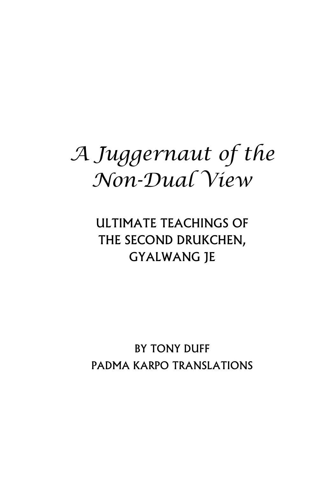# *A Juggernaut of the Non-Dual View*

## ULTIMATE TEACHINGS OF THE SECOND DRUKCHEN, GYALWANG JE

BY TONY DUFF PADMA KARPO TRANSLATIONS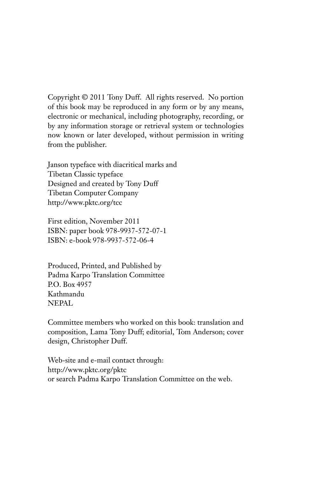Copyright © 2011 Tony Duff. All rights reserved. No portion of this book may be reproduced in any form or by any means, electronic or mechanical, including photography, recording, or by any information storage or retrieval system or technologies now known or later developed, without permission in writing from the publisher.

Janson typeface with diacritical marks and Tibetan Classic typeface Designed and created by Tony Duff Tibetan Computer Company http://www.pktc.org/tcc

First edition, November 2011 ISBN: paper book 978-9937-572-07-1 ISBN: e-book 978-9937-572-06-4

Produced, Printed, and Published by Padma Karpo Translation Committee P.O. Box 4957 Kathmandu NEPAL

Committee members who worked on this book: translation and composition, Lama Tony Duff; editorial, Tom Anderson; cover design, Christopher Duff.

Web-site and e-mail contact through: http://www.pktc.org/pktc or search Padma Karpo Translation Committee on the web.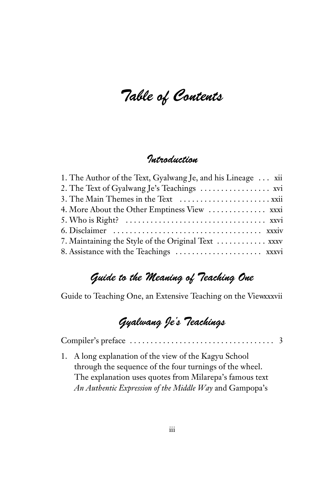Table of Contents

## Introduction

| 1. The Author of the Text, Gyalwang Je, and his Lineage  xii |
|--------------------------------------------------------------|
|                                                              |
|                                                              |
| 4. More About the Other Emptiness View  xxxi                 |
|                                                              |
|                                                              |
| 7. Maintaining the Style of the Original Text  xxxv          |
|                                                              |

## Guide to the Meaning of Teaching One

Guide to Teaching One, an Extensive Teaching on the Viewxxxvii

## Gyalwang Je's Teachings

Compiler's preface . . . . . . . . . . . . . . . . . . . . . . . . . . . . . . . . . . . 3

1. A long explanation of the view of the Kagyu School through the sequence of the four turnings of the wheel. The explanation uses quotes from Milarepa's famous text *An Authentic Expression of the Middle Way* and Gampopa's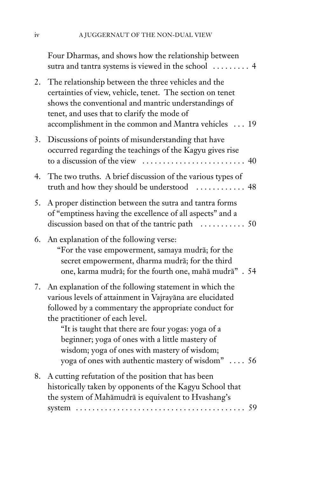|    | Four Dharmas, and shows how the relationship between<br>sutra and tantra systems is viewed in the school<br>$\overline{4}$                                                                                                                                                                                                                                                                                                   |
|----|------------------------------------------------------------------------------------------------------------------------------------------------------------------------------------------------------------------------------------------------------------------------------------------------------------------------------------------------------------------------------------------------------------------------------|
| 2. | The relationship between the three vehicles and the<br>certainties of view, vehicle, tenet. The section on tenet<br>shows the conventional and mantric understandings of<br>tenet, and uses that to clarify the mode of<br>accomplishment in the common and Mantra vehicles  19                                                                                                                                              |
| 3. | Discussions of points of misunderstanding that have<br>occurred regarding the teachings of the Kagyu gives rise<br>to a discussion of the view                                                                                                                                                                                                                                                                               |
| 4. | The two truths. A brief discussion of the various types of                                                                                                                                                                                                                                                                                                                                                                   |
| 5. | A proper distinction between the sutra and tantra forms<br>of "emptiness having the excellence of all aspects" and a                                                                                                                                                                                                                                                                                                         |
| 6. | An explanation of the following verse:<br>"For the vase empowerment, samaya mudrā; for the<br>secret empowerment, dharma mudrā; for the third<br>one, karma mudrā; for the fourth one, mahā mudrā". 54                                                                                                                                                                                                                       |
| 7. | An explanation of the following statement in which the<br>various levels of attainment in Vajrayāna are elucidated<br>followed by a commentary the appropriate conduct for<br>the practitioner of each level.<br>"It is taught that there are four yogas: yoga of a<br>beginner; yoga of ones with a little mastery of<br>wisdom; yoga of ones with mastery of wisdom;<br>yoga of ones with authentic mastery of wisdom"  56 |
| 8. | A cutting refutation of the position that has been<br>historically taken by opponents of the Kagyu School that<br>the system of Mahāmudrā is equivalent to Hvashang's<br>59<br>system $\ldots \ldots \ldots \ldots \ldots \ldots \ldots \ldots \ldots \ldots \ldots$                                                                                                                                                         |
|    |                                                                                                                                                                                                                                                                                                                                                                                                                              |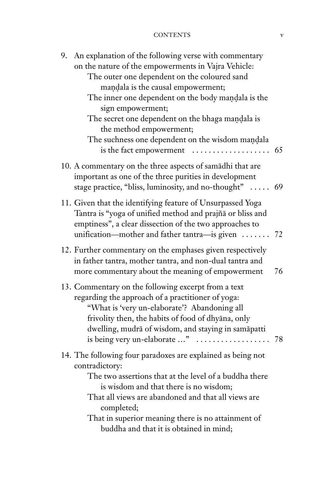#### CONTENTS v

| An explanation of the following verse with commentary<br>9.<br>on the nature of the empowerments in Vajra Vehicle:<br>The outer one dependent on the coloured sand<br>mandala is the causal empowerment;<br>The inner one dependent on the body mandala is the<br>sign empowerment;<br>The secret one dependent on the bhaga mandala is<br>the method empowerment;<br>The suchness one dependent on the wisdom mandala<br>is the fact empowerment | 65 |
|---------------------------------------------------------------------------------------------------------------------------------------------------------------------------------------------------------------------------------------------------------------------------------------------------------------------------------------------------------------------------------------------------------------------------------------------------|----|
| 10. A commentary on the three aspects of samadhi that are<br>important as one of the three purities in development<br>stage practice, "bliss, luminosity, and no-thought"  69                                                                                                                                                                                                                                                                     |    |
| 11. Given that the identifying feature of Unsurpassed Yoga<br>Tantra is "yoga of unified method and prajñā or bliss and<br>emptiness", a clear dissection of the two approaches to<br>unification—mother and father tantra—is given                                                                                                                                                                                                               | 72 |
| 12. Further commentary on the emphases given respectively<br>in father tantra, mother tantra, and non-dual tantra and<br>more commentary about the meaning of empowerment                                                                                                                                                                                                                                                                         | 76 |
| 13. Commentary on the following excerpt from a text<br>regarding the approach of a practitioner of yoga:<br>"What is 'very un-elaborate'? Abandoning all<br>frivolity then, the habits of food of dhyāna, only<br>dwelling, mudrā of wisdom, and staying in samāpatti<br>is being very un-elaborate "                                                                                                                                             | 78 |
| 14. The following four paradoxes are explained as being not<br>contradictory:<br>The two assertions that at the level of a buddha there<br>is wisdom and that there is no wisdom;<br>That all views are abandoned and that all views are<br>completed;<br>That in superior meaning there is no attainment of<br>buddha and that it is obtained in mind;                                                                                           |    |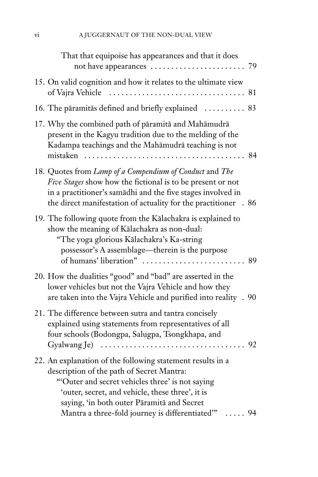| That that equipoise has appearances and that it does                                                                                                                                                                                                                                                                            |    |
|---------------------------------------------------------------------------------------------------------------------------------------------------------------------------------------------------------------------------------------------------------------------------------------------------------------------------------|----|
| 15. On valid cognition and how it relates to the ultimate view<br>of Vajra Vehicle                                                                                                                                                                                                                                              |    |
| 16. The pāramitās defined and briefly explained  83                                                                                                                                                                                                                                                                             |    |
| 17. Why the combined path of pāramitā and Mahāmudrā<br>present in the Kagyu tradition due to the melding of the<br>Kadampa teachings and the Mahāmudrā teaching is not<br>mistaken                                                                                                                                              |    |
| 18. Quotes from Lamp of a Compendium of Conduct and The<br>Five Stages show how the fictional is to be present or not<br>in a practitioner's samādhi and the five stages involved in<br>the direct manifestation of actuality for the practitioner . 86                                                                         |    |
| 19. The following quote from the Kālachakra is explained to<br>show the meaning of Kālachakra as non-dual:<br>"The yoga glorious Kālachakra's Ka-string<br>possessor's A assemblage—therein is the purpose<br>of humans' liberation"                                                                                            | 89 |
| 20. How the dualities "good" and "bad" are asserted in the<br>lower vehicles but not the Vajra Vehicle and how they<br>are taken into the Vajra Vehicle and purified into reality . 90                                                                                                                                          |    |
| 21. The difference between sutra and tantra concisely<br>explained using statements from representatives of all<br>four schools (Bodongpa, Salugpa, Tsongkhapa, and                                                                                                                                                             |    |
| 22. An explanation of the following statement results in a<br>description of the path of Secret Mantra:<br>"Outer and secret vehicles three' is not saying<br>'outer, secret, and vehicle, these three', it is<br>saying, 'in both outer Pāramitā and Secret<br>Mantra a three-fold journey is differentiated"<br>$\ldots$ . 94 |    |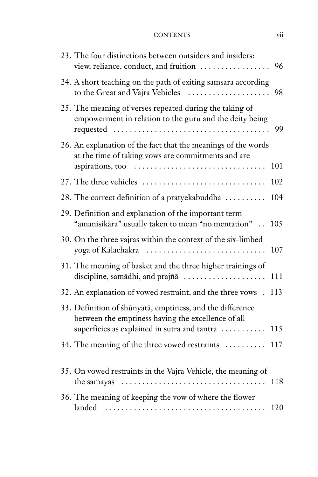#### CONTENTS vii

| 23. The four distinctions between outsiders and insiders:<br>view, reliance, conduct, and fruition                                                              | 96  |
|-----------------------------------------------------------------------------------------------------------------------------------------------------------------|-----|
| 24. A short teaching on the path of exiting samsara according<br>to the Great and Vajra Vehicles                                                                | 98  |
| 25. The meaning of verses repeated during the taking of<br>empowerment in relation to the guru and the deity being                                              | 99  |
| 26. An explanation of the fact that the meanings of the words<br>at the time of taking vows are commitments and are                                             | 101 |
| 27. The three vehicles                                                                                                                                          | 102 |
| 28. The correct definition of a pratyekabuddha                                                                                                                  | 104 |
| 29. Definition and explanation of the important term<br>"amanisikāra" usually taken to mean "no mentation".                                                     | 105 |
| 30. On the three vajras within the context of the six-limbed<br>yoga of Kālachakra                                                                              | 107 |
| 31. The meaning of basket and the three higher trainings of<br>discipline, samādhi, and prajñā                                                                  | 111 |
| 32. An explanation of vowed restraint, and the three vows.                                                                                                      | 113 |
| 33. Definition of śhūnyatā, emptiness, and the difference<br>between the emptiness having the excellence of all<br>superficies as explained in sutra and tantra | 115 |
| 34. The meaning of the three vowed restraints                                                                                                                   | 117 |
| 35. On vowed restraints in the Vajra Vehicle, the meaning of<br>the samayas                                                                                     | 118 |
| 36. The meaning of keeping the vow of where the flower<br>landed                                                                                                | 120 |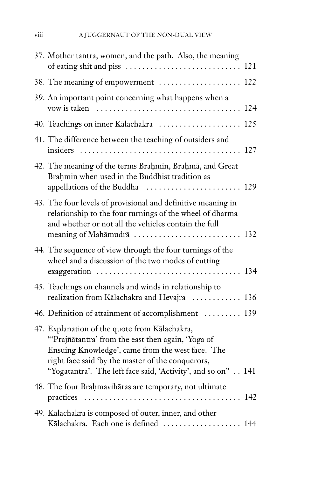| 37. Mother tantra, women, and the path. Also, the meaning                                                                                                                                                                                                                    |     |
|------------------------------------------------------------------------------------------------------------------------------------------------------------------------------------------------------------------------------------------------------------------------------|-----|
| 38. The meaning of empowerment  122                                                                                                                                                                                                                                          |     |
| 39. An important point concerning what happens when a                                                                                                                                                                                                                        | 124 |
| 40. Teachings on inner Kālachakra  125                                                                                                                                                                                                                                       |     |
| 41. The difference between the teaching of outsiders and                                                                                                                                                                                                                     | 127 |
| 42. The meaning of the terms Brahmin, Brahmā, and Great<br>Brahmin when used in the Buddhist tradition as                                                                                                                                                                    |     |
| 43. The four levels of provisional and definitive meaning in<br>relationship to the four turnings of the wheel of dharma<br>and whether or not all the vehicles contain the full<br>meaning of Mahāmudrā  132                                                                |     |
| 44. The sequence of view through the four turnings of the<br>wheel and a discussion of the two modes of cutting                                                                                                                                                              |     |
| 45. Teachings on channels and winds in relationship to<br>realization from Kālachakra and Hevajra  136                                                                                                                                                                       |     |
| 46. Definition of attainment of accomplishment  139                                                                                                                                                                                                                          |     |
| 47. Explanation of the quote from Kālachakra,<br>"'Prajñātantra' from the east then again, 'Yoga of<br>Ensuing Knowledge', came from the west face. The<br>right face said 'by the master of the conquerors,<br>"Yogatantra'. The left face said, 'Activity', and so on" 141 |     |
| 48. The four Brahmavihāras are temporary, not ultimate                                                                                                                                                                                                                       |     |
| 49. Kālachakra is composed of outer, inner, and other<br>Kālachakra. Each one is defined  144                                                                                                                                                                                |     |

$$
viii
$$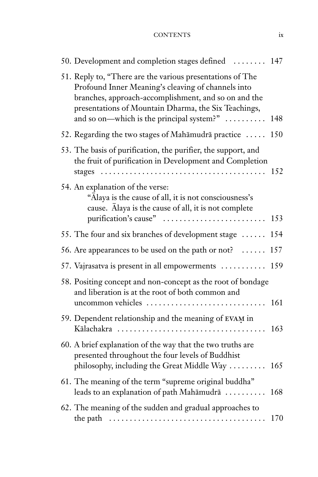CONTENTS ix

| 50. Development and completion stages defined  147                                                                                                                                                                                                                           |     |
|------------------------------------------------------------------------------------------------------------------------------------------------------------------------------------------------------------------------------------------------------------------------------|-----|
| 51. Reply to, "There are the various presentations of The<br>Profound Inner Meaning's cleaving of channels into<br>branches, approach-accomplishment, and so on and the<br>presentations of Mountain Dharma, the Six Teachings,<br>and so on—which is the principal system?" | 148 |
| 52. Regarding the two stages of Mahāmudrā practice                                                                                                                                                                                                                           | 150 |
| 53. The basis of purification, the purifier, the support, and<br>the fruit of purification in Development and Completion                                                                                                                                                     | 152 |
| 54. An explanation of the verse:<br>"Alaya is the cause of all, it is not consciousness's<br>cause. Alaya is the cause of all, it is not complete<br>purification's cause"                                                                                                   | 153 |
| 55. The four and six branches of development stage                                                                                                                                                                                                                           | 154 |
| 56. Are appearances to be used on the path or not?                                                                                                                                                                                                                           | 157 |
| 57. Vajrasatva is present in all empowerments                                                                                                                                                                                                                                | 159 |
| 58. Positing concept and non-concept as the root of bondage<br>and liberation is at the root of both common and<br>uncommon vehicles                                                                                                                                         | 161 |
| 59. Dependent relationship and the meaning of EVAM in                                                                                                                                                                                                                        | 163 |
| 60. A brief explanation of the way that the two truths are<br>presented throughout the four levels of Buddhist<br>philosophy, including the Great Middle Way                                                                                                                 | 165 |
| 61. The meaning of the term "supreme original buddha"<br>leads to an explanation of path Mahāmudrā                                                                                                                                                                           | 168 |
| 62. The meaning of the sudden and gradual approaches to                                                                                                                                                                                                                      | 170 |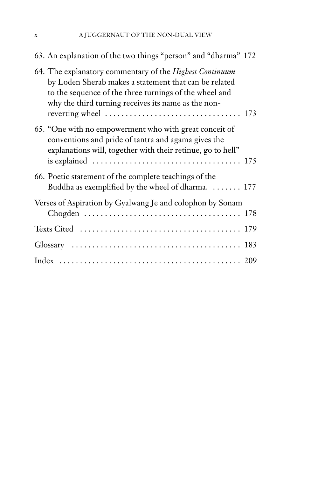| 63. An explanation of the two things "person" and "dharma" 172                                                                                                                                                                    |
|-----------------------------------------------------------------------------------------------------------------------------------------------------------------------------------------------------------------------------------|
| 64. The explanatory commentary of the Highest Continuum<br>by Loden Sherab makes a statement that can be related<br>to the sequence of the three turnings of the wheel and<br>why the third turning receives its name as the non- |
| 65. "One with no empowerment who with great conceit of<br>conventions and pride of tantra and agama gives the<br>explanations will, together with their retinue, go to hell"                                                      |
| 66. Poetic statement of the complete teachings of the<br>Buddha as exemplified by the wheel of dharma. $\dots \dots$ 177                                                                                                          |
| Verses of Aspiration by Gyalwang Je and colophon by Sonam                                                                                                                                                                         |
|                                                                                                                                                                                                                                   |
|                                                                                                                                                                                                                                   |
|                                                                                                                                                                                                                                   |
|                                                                                                                                                                                                                                   |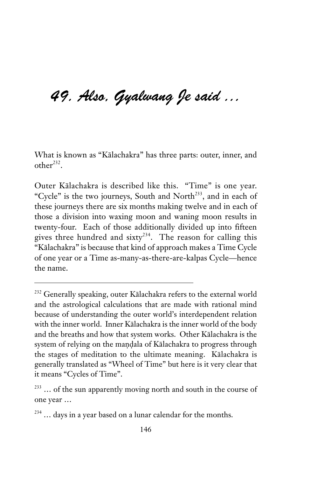# 49. Also, Gyalwang Je said …

What is known as "Kålachakra" has three parts: outer, inner, and  $other<sup>232</sup>$ .

Outer Kålachakra is described like this. "Time" is one year. "Cycle" is the two journeys, South and North<sup>233</sup>, and in each of these journeys there are six months making twelve and in each of those a division into waxing moon and waning moon results in twenty-four. Each of those additionally divided up into fifteen gives three hundred and sixty<sup>234</sup>. The reason for calling this "Kålachakra" is because that kind of approach makes a Time Cycle of one year or a Time as-many-as-there-are-kalpas Cycle—hence the name.

<sup>&</sup>lt;sup>232</sup> Generally speaking, outer Kālachakra refers to the external world and the astrological calculations that are made with rational mind because of understanding the outer world's interdependent relation with the inner world. Inner Kålachakra is the inner world of the body and the breaths and how that system works. Other Kålachakra is the system of relying on the mandala of Kālachakra to progress through the stages of meditation to the ultimate meaning. Kålachakra is generally translated as "Wheel of Time" but here is it very clear that it means "Cycles of Time".

<sup>&</sup>lt;sup>233</sup> ... of the sun apparently moving north and south in the course of one year …

<sup>&</sup>lt;sup>234</sup> ... days in a year based on a lunar calendar for the months.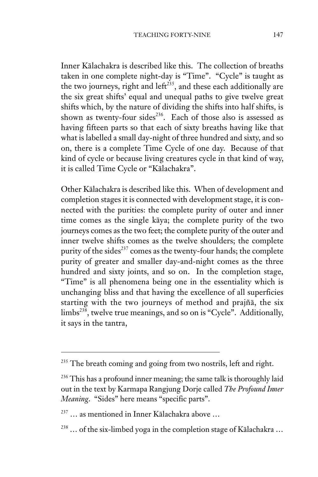Inner Kålachakra is described like this. The collection of breaths taken in one complete night-day is "Time". "Cycle" is taught as the two journeys, right and left<sup> $235$ </sup>, and these each additionally are the six great shifts' equal and unequal paths to give twelve great shifts which, by the nature of dividing the shifts into half shifts, is shown as twenty-four sides<sup>236</sup>. Each of those also is assessed as having fifteen parts so that each of sixty breaths having like that what is labelled a small day-night of three hundred and sixty, and so on, there is a complete Time Cycle of one day. Because of that kind of cycle or because living creatures cycle in that kind of way, it is called Time Cycle or "Kålachakra".

Other Kålachakra is described like this. When of development and completion stages it is connected with development stage, it is connected with the purities: the complete purity of outer and inner time comes as the single kåya; the complete purity of the two journeys comes as the two feet; the complete purity of the outer and inner twelve shifts comes as the twelve shoulders; the complete purity of the sides<sup>237</sup> comes as the twenty-four hands; the complete purity of greater and smaller day-and-night comes as the three hundred and sixty joints, and so on. In the completion stage, "Time" is all phenomena being one in the essentiality which is unchanging bliss and that having the excellence of all superficies starting with the two journeys of method and prajñå, the six limbs<sup>238</sup>, twelve true meanings, and so on is "Cycle". Additionally, it says in the tantra,

<sup>&</sup>lt;sup>235</sup> The breath coming and going from two nostrils, left and right.

<sup>&</sup>lt;sup>236</sup> This has a profound inner meaning; the same talk is thoroughly laid out in the text by Karmapa Rangjung Dorje called *The Profound Inner Meaning*. "Sides" here means "specific parts".

 $237$  ... as mentioned in Inner Kālachakra above ...

 $238$  ... of the six-limbed yoga in the completion stage of Kālachakra ...